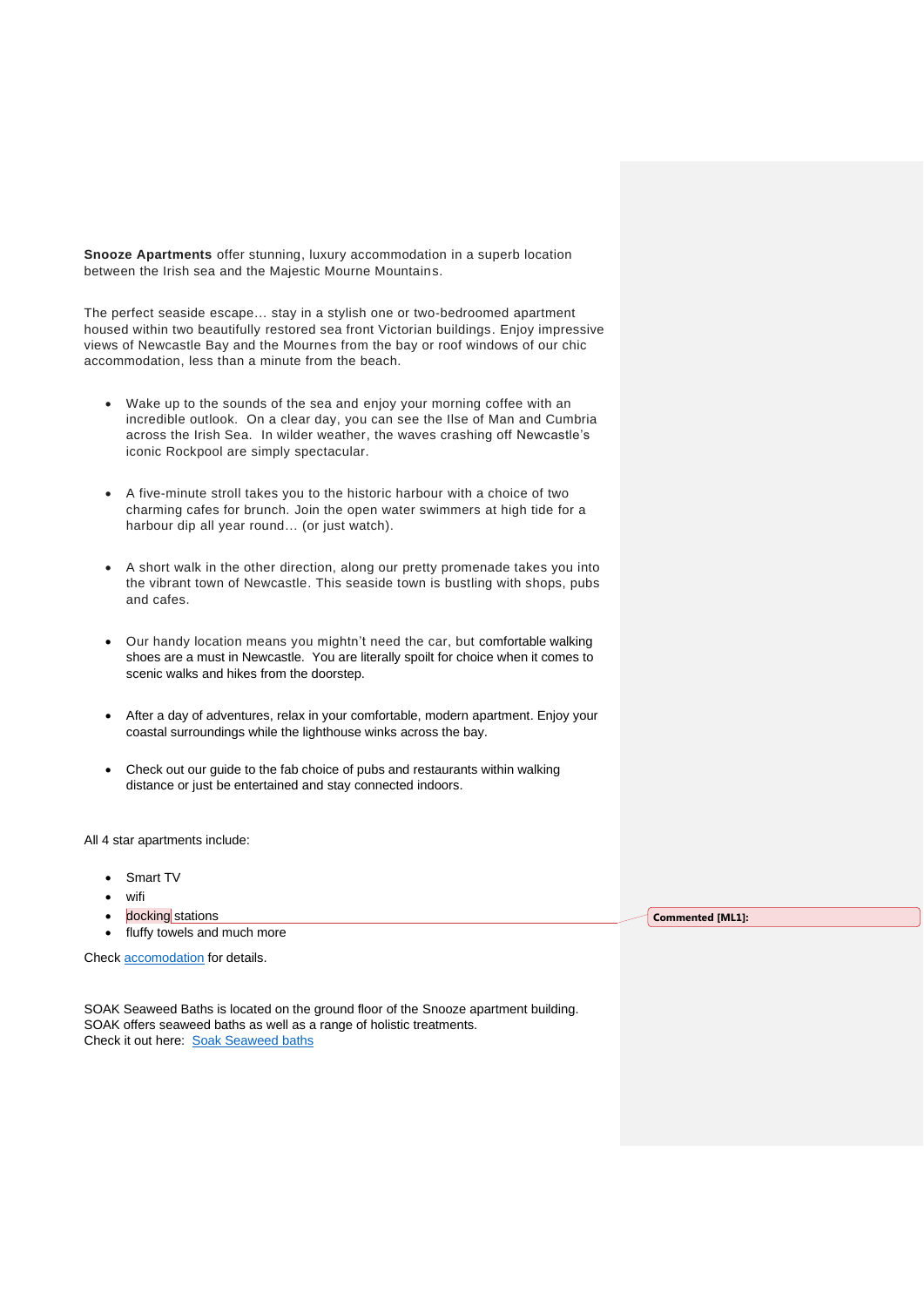**Snooze Apartments** offer stunning, luxury accommodation in a superb location between the Irish sea and the Majestic Mourne Mountains.

The perfect seaside escape… stay in a stylish one or two-bedroomed apartment housed within two beautifully restored sea front Victorian buildings. Enjoy impressive views of Newcastle Bay and the Mournes from the bay or roof windows of our chic accommodation, less than a minute from the beach.

- Wake up to the sounds of the sea and enjoy your morning coffee with an incredible outlook. On a clear day, you can see the Ilse of Man and Cumbria across the Irish Sea. In wilder weather, the waves crashing off Newcastle's iconic Rockpool are simply spectacular.
- A five-minute stroll takes you to the historic harbour with a choice of two charming cafes for brunch. Join the open water swimmers at high tide for a harbour dip all year round… (or just watch).
- A short walk in the other direction, along our pretty promenade takes you into the vibrant town of Newcastle. This seaside town is bustling with shops, pubs and cafes.
- Our handy location means you mightn't need the car, but comfortable walking shoes are a must in Newcastle. You are literally spoilt for choice when it comes to scenic walks and hikes from the doorstep.
- After a day of adventures, relax in your comfortable, modern apartment. Enjoy your coastal surroundings while the lighthouse winks across the bay.
- Check out our guide to the fab choice of pubs and restaurants within walking distance or just be entertained and stay connected indoors.

All 4 star apartments include:

- Smart TV
- wifi
- docking stations
- fluffy towels and much more

Check [accomodation](https://www.snoozeaccomodation.co.uk/) for details.

SOAK Seaweed Baths is located on the ground floor of the Snooze apartment building. SOAK offers seaweed baths as well as a range of holistic treatments. Check it out here: [Soak Seaweed baths](https://www.soakseaweedbaths.co.uk/)

**Commented [ML1]:**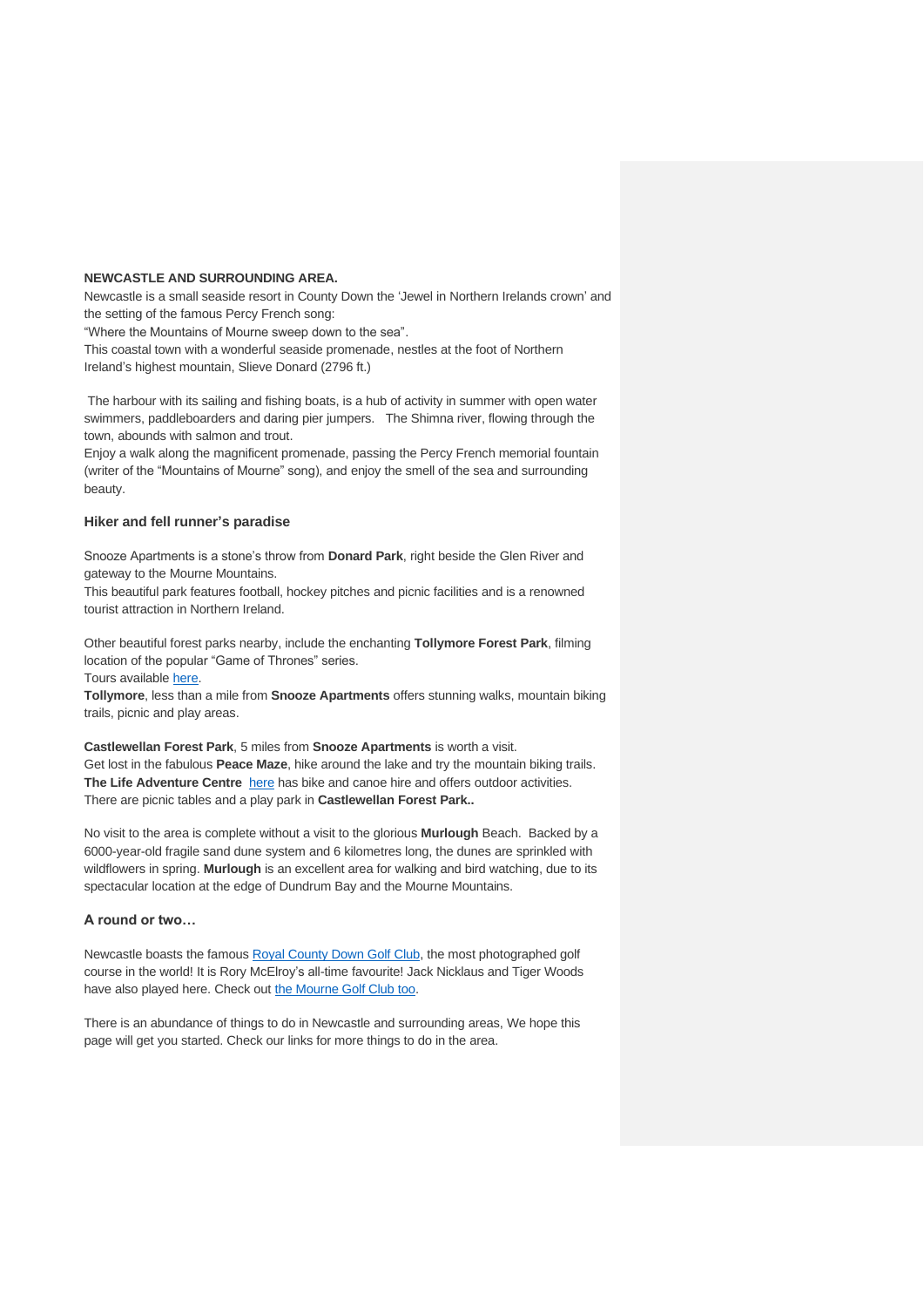## **NEWCASTLE AND SURROUNDING AREA.**

Newcastle is a small seaside resort in County Down the 'Jewel in Northern Irelands crown' and the setting of the famous Percy French song:

"Where the Mountains of Mourne sweep down to the sea".

This coastal town with a wonderful seaside promenade, nestles at the foot of Northern Ireland's highest mountain, Slieve Donard (2796 ft.)

The harbour with its sailing and fishing boats, is a hub of activity in summer with open water swimmers, paddleboarders and daring pier jumpers. The Shimna river, flowing through the town, abounds with salmon and trout.

Enjoy a walk along the magnificent promenade, passing the Percy French memorial fountain (writer of the "Mountains of Mourne" song), and enjoy the smell of the sea and surrounding beauty.

## **Hiker and fell runner's paradise**

Snooze Apartments is a stone's throw from **Donard Park**, right beside the Glen River and gateway to the Mourne Mountains.

This beautiful park features football, hockey pitches and picnic facilities and is a renowned tourist attraction in Northern Ireland.

Other beautiful forest parks nearby, include the enchanting **Tollymore Forest Park**, filming location of the popular "Game of Thrones" series.

Tours available [here.](https://www.gameofthronestours.com/tollymore/).)

**Tollymore**, less than a mile from **Snooze Apartments** offers stunning walks, mountain biking trails, picnic and play areas.

**Castlewellan Forest Park**, 5 miles from **Snooze Apartments** is worth a visit. Get lost in the fabulous **Peace Maze**, hike around the lake and try the mountain biking trails. The Life Adventure Centre [here](https://www.onegreatadventure.com/) has bike and canoe hire and offers outdoor activities. There are picnic tables and a play park in **Castlewellan Forest Park..**

No visit to the area is complete without a visit to the glorious **Murlough** Beach. Backed by a 6000-year-old fragile sand dune system and 6 kilometres long, the dunes are sprinkled with wildflowers in spring. **Murlough** is an excellent area for walking and bird watching, due to its spectacular location at the edge of Dundrum Bay and the Mourne Mountains.

## **A round or two…**

Newcastle boasts the famous [Royal County Down Golf Club,](https://www.royalcountydown.org/) the most photographed golf course in the world! It is Rory McElroy's all-time favourite! Jack Nicklaus and Tiger Woods have also played here. Check out [the Mourne Golf Club too.](https://www.mournegolfclub.co.uk/)

There is an abundance of things to do in Newcastle and surrounding areas, We hope this page will get you started. Check our links for more things to do in the area.